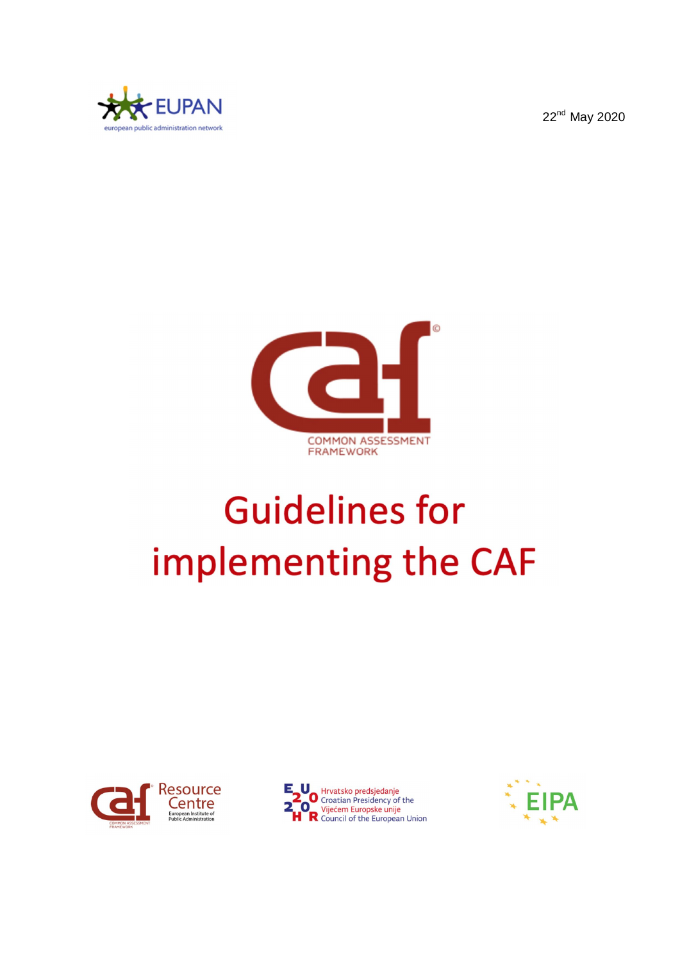22<sup>nd</sup> May 2020





# **Guidelines for** implementing the CAF





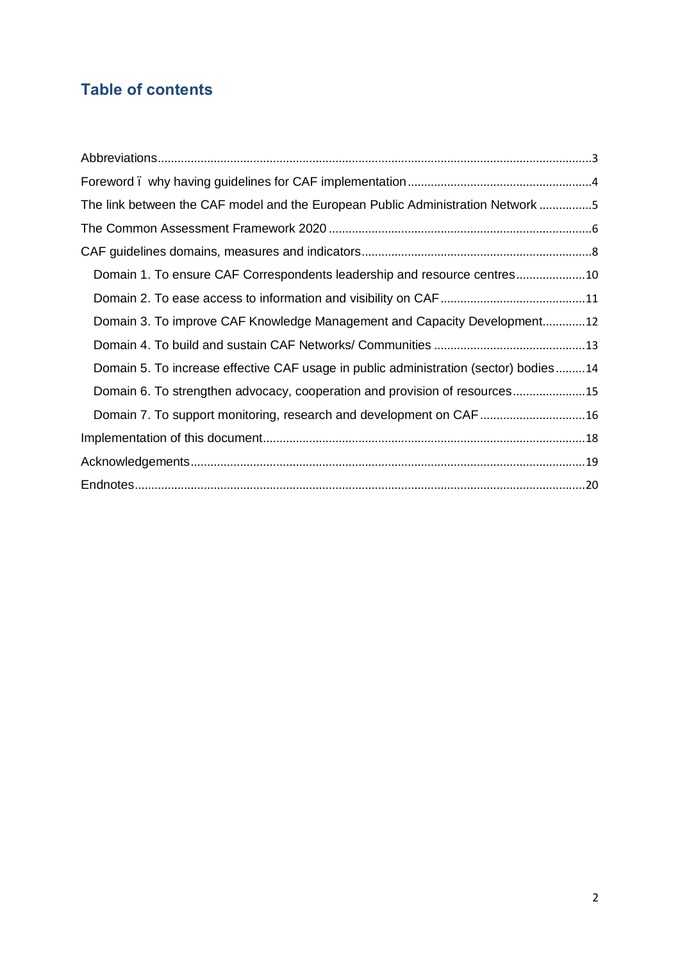# **Table of contents**

| The link between the CAF model and the European Public Administration Network 5      |  |
|--------------------------------------------------------------------------------------|--|
|                                                                                      |  |
|                                                                                      |  |
| Domain 1. To ensure CAF Correspondents leadership and resource centres10             |  |
|                                                                                      |  |
| Domain 3. To improve CAF Knowledge Management and Capacity Development12             |  |
|                                                                                      |  |
| Domain 5. To increase effective CAF usage in public administration (sector) bodies14 |  |
| Domain 6. To strengthen advocacy, cooperation and provision of resources15           |  |
|                                                                                      |  |
|                                                                                      |  |
|                                                                                      |  |
|                                                                                      |  |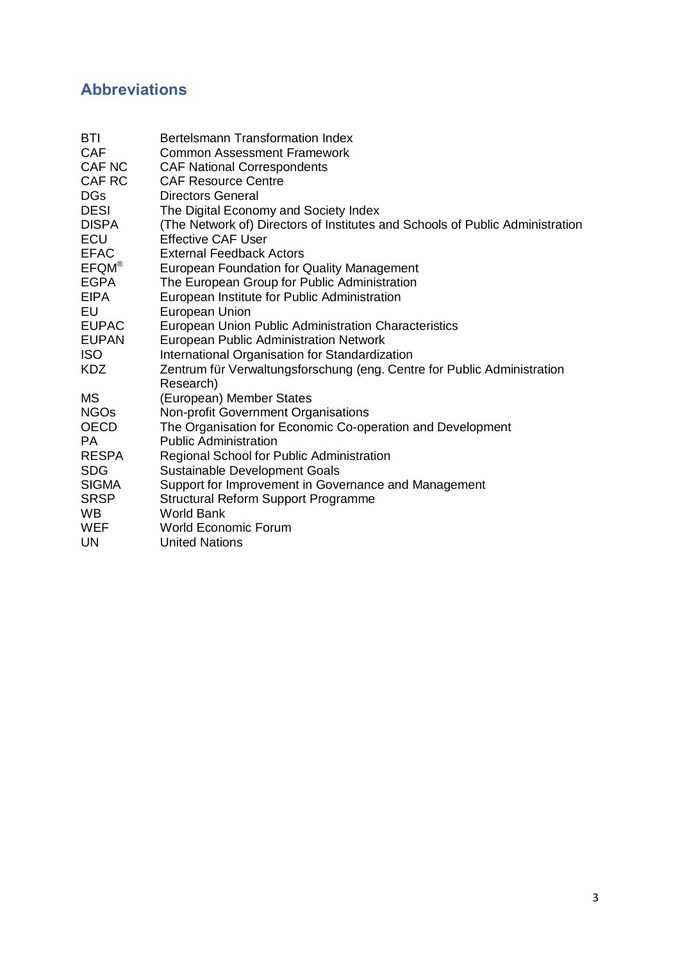# **Abbreviations**

| <b>BTI</b>    | Bertelsmann Transformation Index                                              |
|---------------|-------------------------------------------------------------------------------|
| <b>CAF</b>    | <b>Common Assessment Framework</b>                                            |
| <b>CAF NC</b> | <b>CAF National Correspondents</b>                                            |
| CAF RC        | <b>CAF Resource Centre</b>                                                    |
| <b>DGs</b>    | <b>Directors General</b>                                                      |
| <b>DESI</b>   | The Digital Economy and Society Index                                         |
| <b>DISPA</b>  | (The Network of) Directors of Institutes and Schools of Public Administration |
| <b>ECU</b>    | <b>Effective CAF User</b>                                                     |
| <b>EFAC</b>   | <b>External Feedback Actors</b>                                               |
| $EFQM^@$      | European Foundation for Quality Management                                    |
| <b>EGPA</b>   | The European Group for Public Administration                                  |
| <b>EIPA</b>   | European Institute for Public Administration                                  |
| EU            | <b>European Union</b>                                                         |
| <b>EUPAC</b>  | European Union Public Administration Characteristics                          |
| <b>EUPAN</b>  | <b>European Public Administration Network</b>                                 |
| <b>ISO</b>    | International Organisation for Standardization                                |
| <b>KDZ</b>    | Zentrum für Verwaltungsforschung (eng. Centre for Public Administration       |
|               | Research)                                                                     |
| <b>MS</b>     | (European) Member States                                                      |
| <b>NGOs</b>   | Non-profit Government Organisations                                           |
| <b>OECD</b>   | The Organisation for Economic Co-operation and Development                    |
| PA.           | <b>Public Administration</b>                                                  |
| <b>RESPA</b>  | Regional School for Public Administration                                     |
| <b>SDG</b>    | <b>Sustainable Development Goals</b>                                          |
| <b>SIGMA</b>  | Support for Improvement in Governance and Management                          |
| <b>SRSP</b>   | <b>Structural Reform Support Programme</b>                                    |
| <b>WB</b>     | <b>World Bank</b>                                                             |
| WEF           | World Economic Forum                                                          |
| <b>UN</b>     | <b>United Nations</b>                                                         |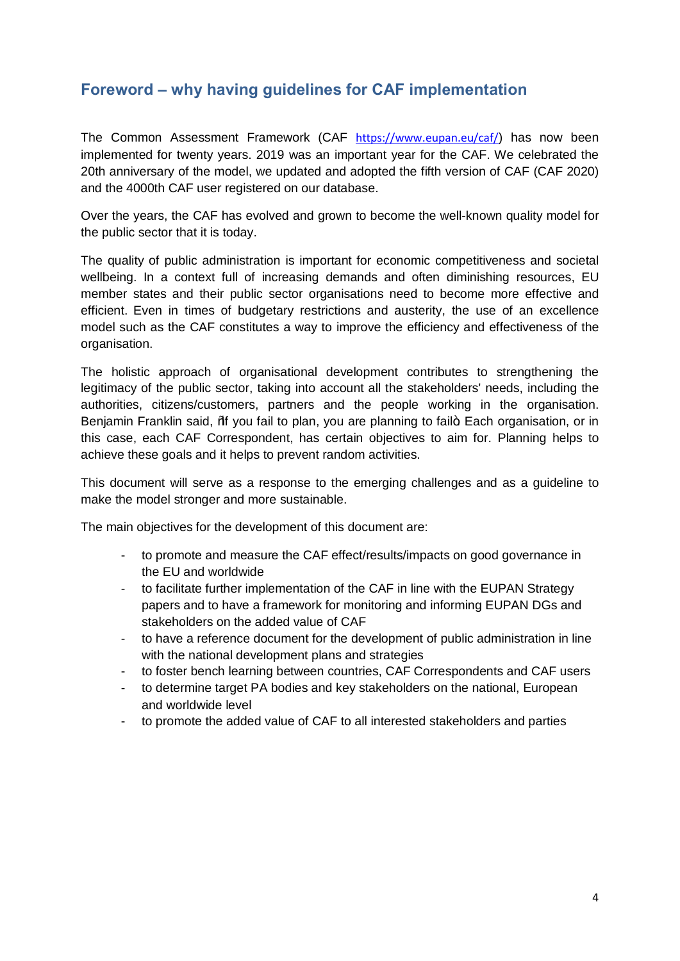#### **Foreword – why having guidelines for CAF implementation**

The Common Assessment Framework (CAF https://www.eupan.eu/caf/) has now been implemented for twenty years. 2019 was an important year for the CAF. We celebrated the 20th anniversary of the model, we updated and adopted the fifth version of CAF (CAF 2020) and the 4000th CAF user registered on our database.

Over the years, the CAF has evolved and grown to become the well-known quality model for the public sector that it is today.

The quality of public administration is important for economic competitiveness and societal wellbeing. In a context full of increasing demands and often diminishing resources, EU member states and their public sector organisations need to become more effective and efficient. Even in times of budgetary restrictions and austerity, the use of an excellence model such as the CAF constitutes a way to improve the efficiency and effectiveness of the organisation.

The holistic approach of organisational development contributes to strengthening the legitimacy of the public sector, taking into account all the stakeholders' needs, including the authorities, citizens/customers, partners and the people working in the organisation. Benjamin Franklin said, % you fail to plan, you are planning to fail+. Each organisation, or in this case, each CAF Correspondent, has certain objectives to aim for. Planning helps to achieve these goals and it helps to prevent random activities.

This document will serve as a response to the emerging challenges and as a guideline to make the model stronger and more sustainable.

The main objectives for the development of this document are:

- to promote and measure the CAF effect/results/impacts on good governance in the EU and worldwide
- to facilitate further implementation of the CAF in line with the EUPAN Strategy papers and to have a framework for monitoring and informing EUPAN DGs and stakeholders on the added value of CAF
- to have a reference document for the development of public administration in line with the national development plans and strategies
- to foster bench learning between countries, CAF Correspondents and CAF users
- to determine target PA bodies and key stakeholders on the national, European and worldwide level
- to promote the added value of CAF to all interested stakeholders and parties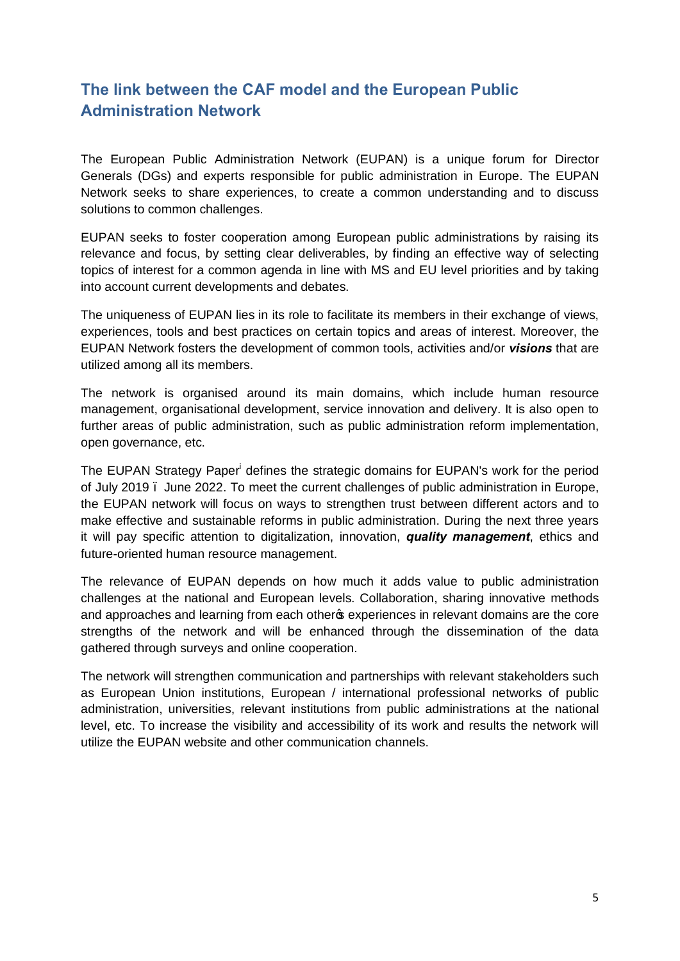## **The link between the CAF model and the European Public Administration Network**

The European Public Administration Network (EUPAN) is a unique forum for Director Generals (DGs) and experts responsible for public administration in Europe. The EUPAN Network seeks to share experiences, to create a common understanding and to discuss solutions to common challenges.

EUPAN seeks to foster cooperation among European public administrations by raising its relevance and focus, by setting clear deliverables, by finding an effective way of selecting topics of interest for a common agenda in line with MS and EU level priorities and by taking into account current developments and debates.

The uniqueness of EUPAN lies in its role to facilitate its members in their exchange of views, experiences, tools and best practices on certain topics and areas of interest. Moreover, the EUPAN Network fosters the development of common tools, activities and/or *visions* that are utilized among all its members.

The network is organised around its main domains, which include human resource management, organisational development, service innovation and delivery. It is also open to further areas of public administration, such as public administration reform implementation, open governance, etc.

The EUPAN Strategy Paper<sup>i</sup> defines the strategic domains for EUPAN's work for the period of July 2019 – June 2022. To meet the current challenges of public administration in Europe, the EUPAN network will focus on ways to strengthen trust between different actors and to make effective and sustainable reforms in public administration. During the next three years it will pay specific attention to digitalization, innovation, *quality management*, ethics and future-oriented human resource management.

The relevance of EUPAN depends on how much it adds value to public administration challenges at the national and European levels. Collaboration, sharing innovative methods and approaches and learning from each other of experiences in relevant domains are the core strengths of the network and will be enhanced through the dissemination of the data gathered through surveys and online cooperation.

The network will strengthen communication and partnerships with relevant stakeholders such as European Union institutions, European / international professional networks of public administration, universities, relevant institutions from public administrations at the national level, etc. To increase the visibility and accessibility of its work and results the network will utilize the EUPAN website and other communication channels.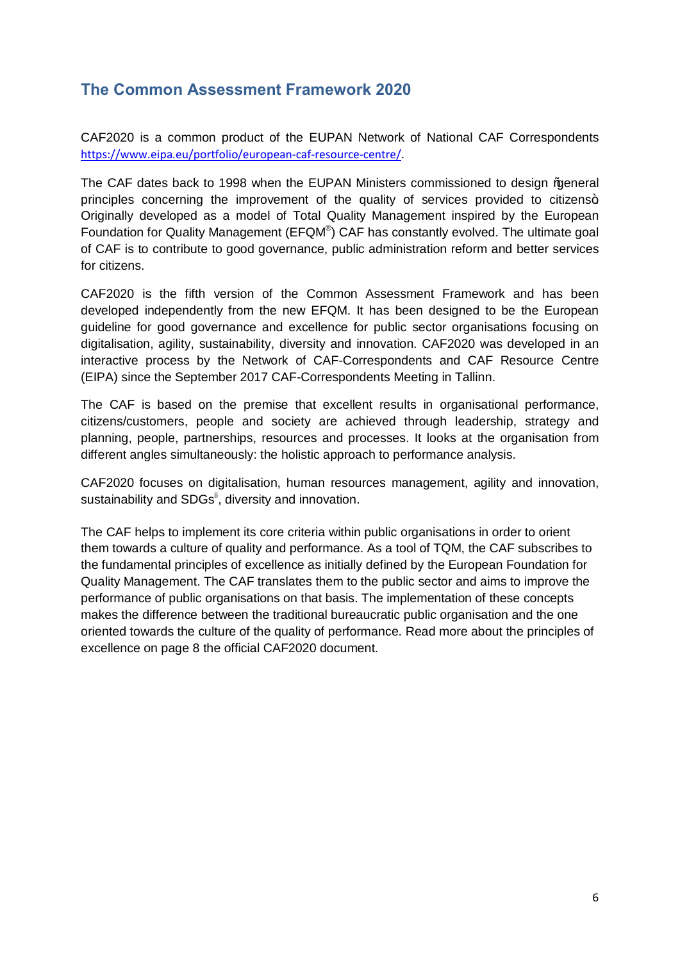#### **The Common Assessment Framework 2020**

CAF2020 is a common product of the EUPAN Network of National CAF Correspondents https://www.eipa.eu/portfolio/european-caf-resource-centre/.

The CAF dates back to 1998 when the EUPAN Ministers commissioned to design % a eneral principles concerning the improvement of the quality of services provided to citizens+ Originally developed as a model of Total Quality Management inspired by the European Foundation for Quality Management (EFQM®) CAF has constantly evolved. The ultimate goal of CAF is to contribute to good governance, public administration reform and better services for citizens.

CAF2020 is the fifth version of the Common Assessment Framework and has been developed independently from the new EFQM. It has been designed to be the European guideline for good governance and excellence for public sector organisations focusing on digitalisation, agility, sustainability, diversity and innovation. CAF2020 was developed in an interactive process by the Network of CAF-Correspondents and CAF Resource Centre (EIPA) since the September 2017 CAF-Correspondents Meeting in Tallinn.

The CAF is based on the premise that excellent results in organisational performance, citizens/customers, people and society are achieved through leadership, strategy and planning, people, partnerships, resources and processes. It looks at the organisation from different angles simultaneously: the holistic approach to performance analysis.

CAF2020 focuses on digitalisation, human resources management, agility and innovation, sustainability and SDGs<sup>ii</sup>, diversity and innovation.

The CAF helps to implement its core criteria within public organisations in order to orient them towards a culture of quality and performance. As a tool of TQM, the CAF subscribes to the fundamental principles of excellence as initially defined by the European Foundation for Quality Management. The CAF translates them to the public sector and aims to improve the performance of public organisations on that basis. The implementation of these concepts makes the difference between the traditional bureaucratic public organisation and the one oriented towards the culture of the quality of performance. Read more about the principles of excellence on page 8 the official CAF2020 document.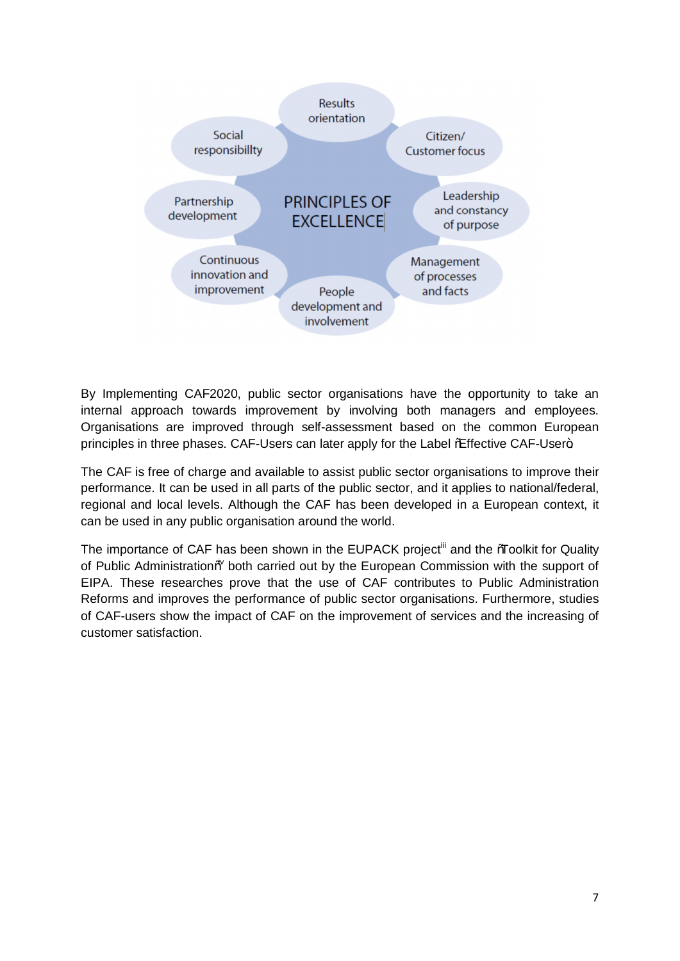

By Implementing CAF2020, public sector organisations have the opportunity to take an internal approach towards improvement by involving both managers and employees. Organisations are improved through self-assessment based on the common European principles in three phases. CAF-Users can later apply for the Label % Effective CAF-User+.

The CAF is free of charge and available to assist public sector organisations to improve their performance. It can be used in all parts of the public sector, and it applies to national/federal, regional and local levels. Although the CAF has been developed in a European context, it can be used in any public organisation around the world.

The importance of CAF has been shown in the EUPACK project<sup>iii</sup> and the *%*Toolkit for Quality of Public Administration% both carried out by the European Commission with the support of EIPA. These researches prove that the use of CAF contributes to Public Administration Reforms and improves the performance of public sector organisations. Furthermore, studies of CAF-users show the impact of CAF on the improvement of services and the increasing of customer satisfaction.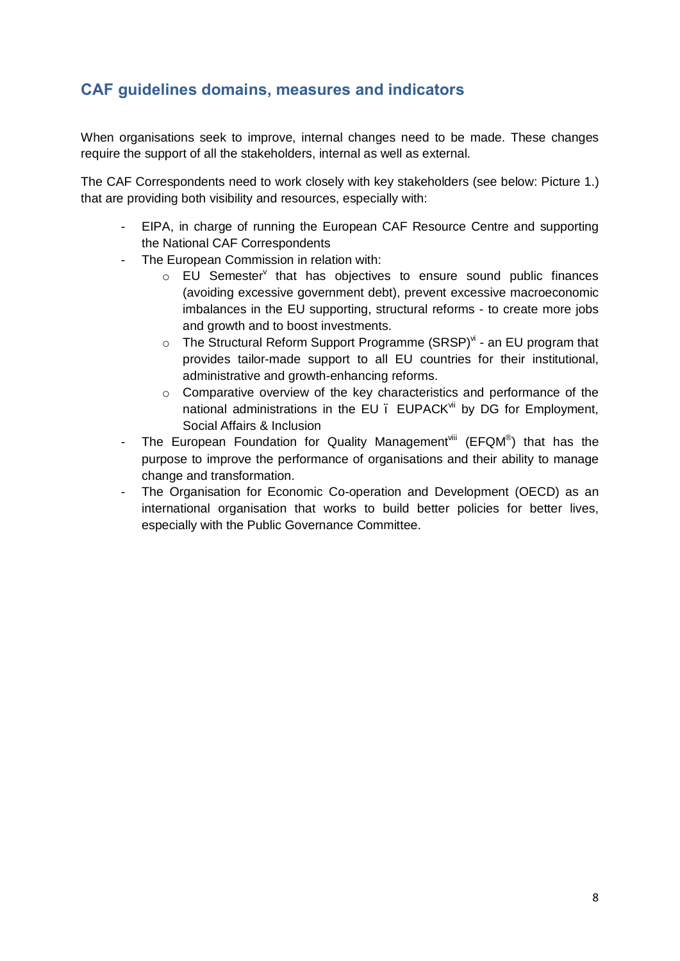#### **CAF guidelines domains, measures and indicators**

When organisations seek to improve, internal changes need to be made. These changes require the support of all the stakeholders, internal as well as external.

The CAF Correspondents need to work closely with key stakeholders (see below: Picture 1.) that are providing both visibility and resources, especially with:

- EIPA, in charge of running the European CAF Resource Centre and supporting the National CAF Correspondents
- The European Commission in relation with:
	- $\circ$  EU Semester<sup>y</sup> that has objectives to ensure sound public finances (avoiding excessive government debt), prevent excessive macroeconomic imbalances in the EU supporting, structural reforms - to create more jobs and growth and to boost investments.
	- $\circ$  The Structural Reform Support Programme (SRSP)<sup>vi</sup> an EU program that provides tailor-made support to all EU countries for their institutional, administrative and growth-enhancing reforms.
	- o Comparative overview of the key characteristics and performance of the national administrations in the EU . EUPACK<sup>vii</sup> by DG for Employment, Social Affairs & Inclusion
- The European Foundation for Quality Management<sup>viii</sup> (EFQM<sup>®</sup>) that has the purpose to improve the performance of organisations and their ability to manage change and transformation.
- The Organisation for Economic Co-operation and Development (OECD) as an international organisation that works to build better policies for better lives, especially with the Public Governance Committee.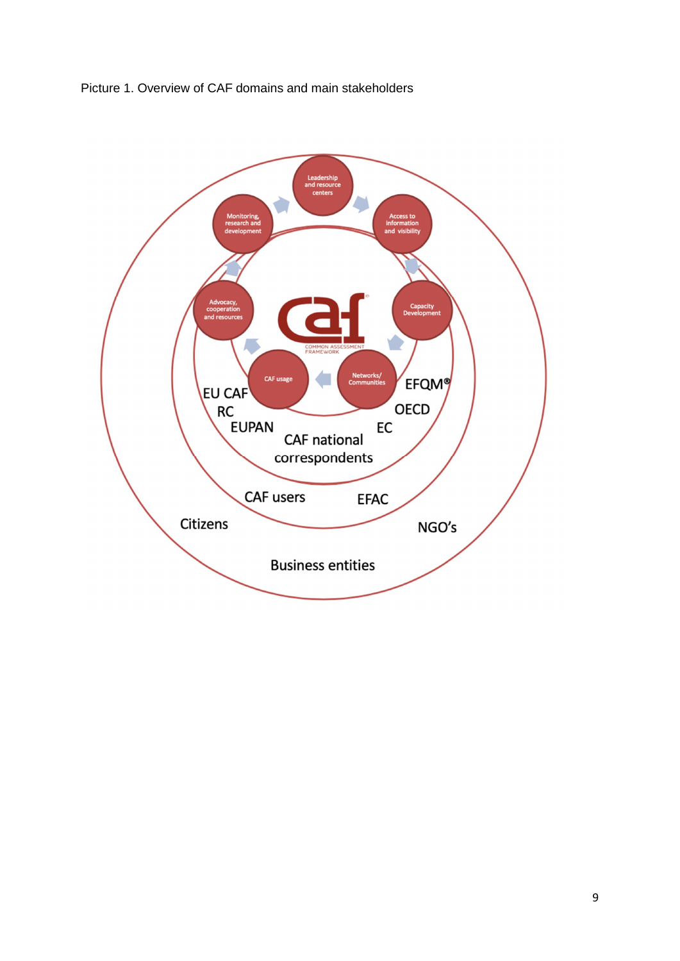

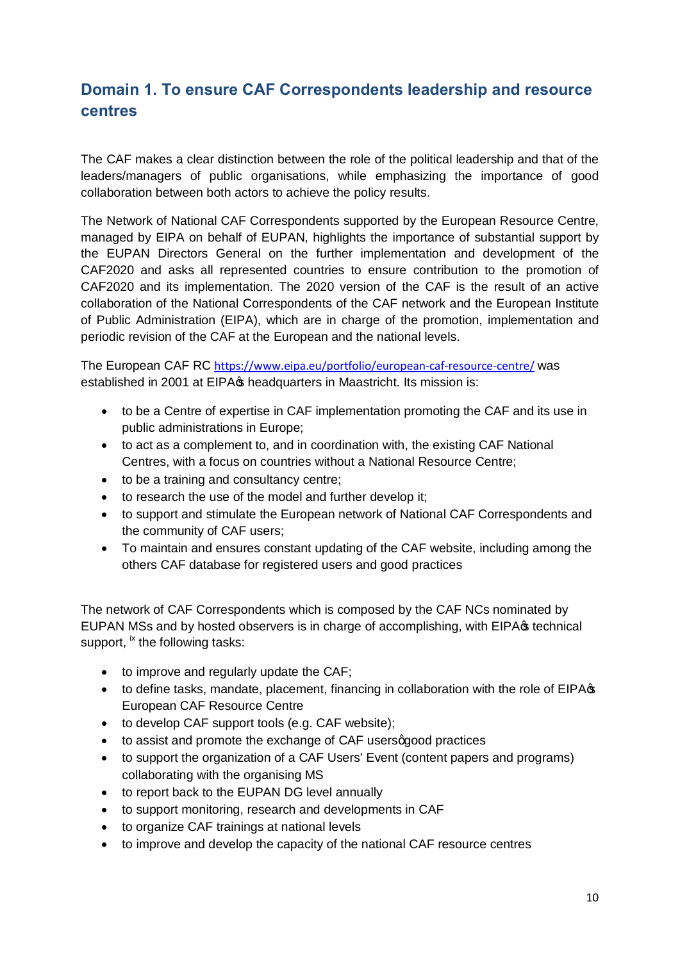## **Domain 1. To ensure CAF Correspondents leadership and resource centres**

The CAF makes a clear distinction between the role of the political leadership and that of the leaders/managers of public organisations, while emphasizing the importance of good collaboration between both actors to achieve the policy results.

The Network of National CAF Correspondents supported by the European Resource Centre, managed by EIPA on behalf of EUPAN, highlights the importance of substantial support by the EUPAN Directors General on the further implementation and development of the CAF2020 and asks all represented countries to ensure contribution to the promotion of CAF2020 and its implementation. The 2020 version of the CAF is the result of an active collaboration of the National Correspondents of the CAF network and the European Institute of Public Administration (EIPA), which are in charge of the promotion, implementation and periodic revision of the CAF at the European and the national levels.

The European CAF RC https://www.eipa.eu/portfolio/european-caf-resource-centre/ was established in 2001 at EIPA $\infty$  headquarters in Maastricht. Its mission is:

- · to be a Centre of expertise in CAF implementation promoting the CAF and its use in public administrations in Europe;
- · to act as a complement to, and in coordination with, the existing CAF National Centres, with a focus on countries without a National Resource Centre;
- · to be a training and consultancy centre;
- · to research the use of the model and further develop it;
- · to support and stimulate the European network of National CAF Correspondents and the community of CAF users;
- · To maintain and ensures constant updating of the CAF website, including among the others CAF database for registered users and good practices

The network of CAF Correspondents which is composed by the CAF NCs nominated by EUPAN MSs and by hosted observers is in charge of accomplishing, with EIPA $\sigma$  technical support, <sup>ix</sup> the following tasks:

- · to improve and regularly update the CAF;
- to define tasks, mandate, placement, financing in collaboration with the role of EIPA $\sigma$ European CAF Resource Centre
- · to develop CAF support tools (e.g. CAF website);
- to assist and promote the exchange of CAF users good practices
- · to support the organization of a CAF Users' Event (content papers and programs) collaborating with the organising MS
- · to report back to the EUPAN DG level annually
- · to support monitoring, research and developments in CAF
- · to organize CAF trainings at national levels
- · to improve and develop the capacity of the national CAF resource centres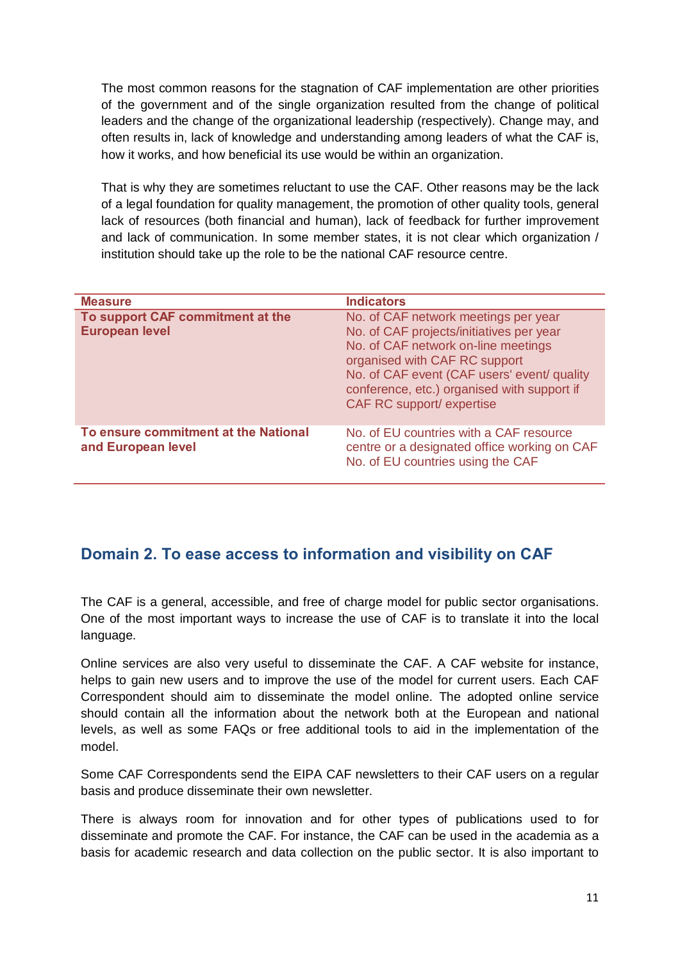The most common reasons for the stagnation of CAF implementation are other priorities of the government and of the single organization resulted from the change of political leaders and the change of the organizational leadership (respectively). Change may, and often results in, lack of knowledge and understanding among leaders of what the CAF is, how it works, and how beneficial its use would be within an organization.

That is why they are sometimes reluctant to use the CAF. Other reasons may be the lack of a legal foundation for quality management, the promotion of other quality tools, general lack of resources (both financial and human), lack of feedback for further improvement and lack of communication. In some member states, it is not clear which organization / institution should take up the role to be the national CAF resource centre.

| <b>Measure</b>                                             | <b>Indicators</b>                                                                                                                                                                                                                                                                          |
|------------------------------------------------------------|--------------------------------------------------------------------------------------------------------------------------------------------------------------------------------------------------------------------------------------------------------------------------------------------|
| To support CAF commitment at the<br><b>European level</b>  | No. of CAF network meetings per year<br>No. of CAF projects/initiatives per year<br>No. of CAF network on-line meetings<br>organised with CAF RC support<br>No. of CAF event (CAF users' event/ quality<br>conference, etc.) organised with support if<br><b>CAF RC support/ expertise</b> |
| To ensure commitment at the National<br>and European level | No. of EU countries with a CAF resource<br>centre or a designated office working on CAF<br>No. of EU countries using the CAF                                                                                                                                                               |

#### **Domain 2. To ease access to information and visibility on CAF**

The CAF is a general, accessible, and free of charge model for public sector organisations. One of the most important ways to increase the use of CAF is to translate it into the local language.

Online services are also very useful to disseminate the CAF. A CAF website for instance, helps to gain new users and to improve the use of the model for current users. Each CAF Correspondent should aim to disseminate the model online. The adopted online service should contain all the information about the network both at the European and national levels, as well as some FAQs or free additional tools to aid in the implementation of the model.

Some CAF Correspondents send the EIPA CAF newsletters to their CAF users on a regular basis and produce disseminate their own newsletter.

There is always room for innovation and for other types of publications used to for disseminate and promote the CAF. For instance, the CAF can be used in the academia as a basis for academic research and data collection on the public sector. It is also important to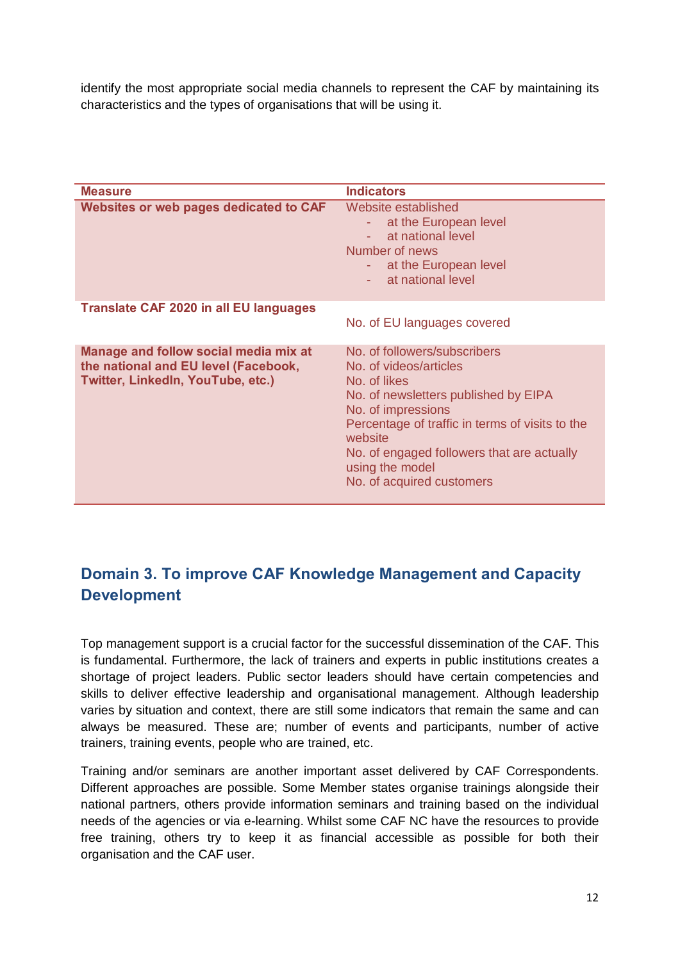identify the most appropriate social media channels to represent the CAF by maintaining its characteristics and the types of organisations that will be using it.

| <b>Measure</b>                                                                                                            | <b>Indicators</b>                                                                                                                                                                                                                                                                                |
|---------------------------------------------------------------------------------------------------------------------------|--------------------------------------------------------------------------------------------------------------------------------------------------------------------------------------------------------------------------------------------------------------------------------------------------|
| <b>Websites or web pages dedicated to CAF</b>                                                                             | Website established<br>at the European level<br>at national level<br>Number of news<br>- at the European level<br>at national level                                                                                                                                                              |
| <b>Translate CAF 2020 in all EU languages</b>                                                                             |                                                                                                                                                                                                                                                                                                  |
|                                                                                                                           | No. of EU languages covered                                                                                                                                                                                                                                                                      |
| Manage and follow social media mix at<br>the national and EU level (Facebook,<br><b>Twitter, Linkedln, YouTube, etc.)</b> | No. of followers/subscribers<br>No. of videos/articles<br>No. of likes<br>No. of newsletters published by EIPA<br>No. of impressions<br>Percentage of traffic in terms of visits to the<br>website<br>No. of engaged followers that are actually<br>using the model<br>No. of acquired customers |

#### **Domain 3. To improve CAF Knowledge Management and Capacity Development**

Top management support is a crucial factor for the successful dissemination of the CAF. This is fundamental. Furthermore, the lack of trainers and experts in public institutions creates a shortage of project leaders. Public sector leaders should have certain competencies and skills to deliver effective leadership and organisational management. Although leadership varies by situation and context, there are still some indicators that remain the same and can always be measured. These are; number of events and participants, number of active trainers, training events, people who are trained, etc.

Training and/or seminars are another important asset delivered by CAF Correspondents. Different approaches are possible. Some Member states organise trainings alongside their national partners, others provide information seminars and training based on the individual needs of the agencies or via e-learning. Whilst some CAF NC have the resources to provide free training, others try to keep it as financial accessible as possible for both their organisation and the CAF user.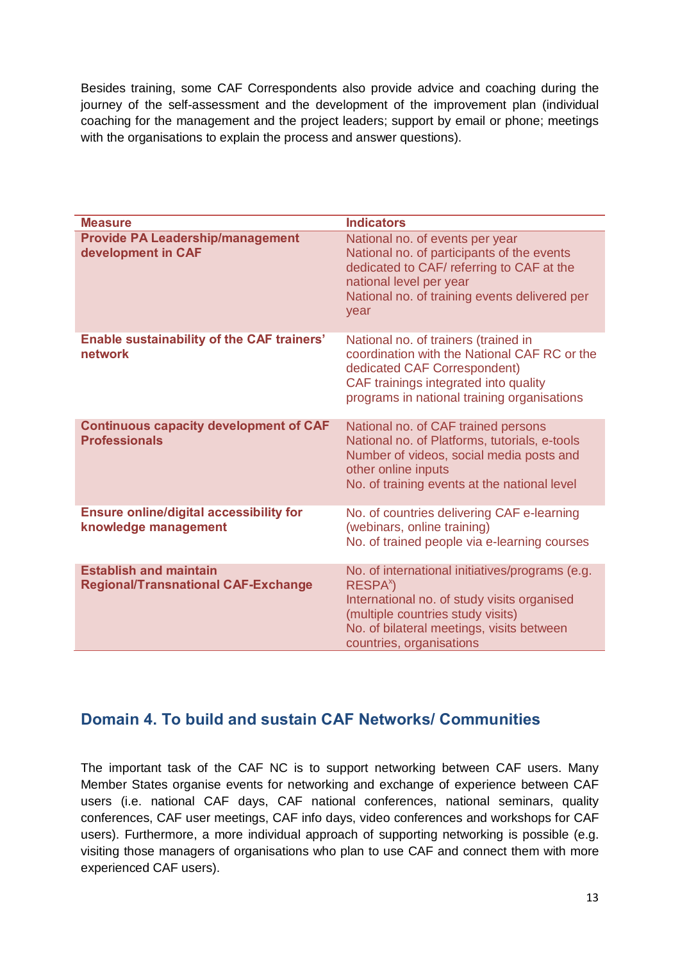Besides training, some CAF Correspondents also provide advice and coaching during the journey of the self-assessment and the development of the improvement plan (individual coaching for the management and the project leaders; support by email or phone; meetings with the organisations to explain the process and answer questions).

| <b>Measure</b>                                                              | <b>Indicators</b>                                                                                                                                                                                                                    |
|-----------------------------------------------------------------------------|--------------------------------------------------------------------------------------------------------------------------------------------------------------------------------------------------------------------------------------|
| <b>Provide PA Leadership/management</b><br>development in CAF               | National no. of events per year<br>National no. of participants of the events<br>dedicated to CAF/ referring to CAF at the<br>national level per year<br>National no. of training events delivered per<br>year                       |
| <b>Enable sustainability of the CAF trainers'</b><br>network                | National no. of trainers (trained in<br>coordination with the National CAF RC or the<br>dedicated CAF Correspondent)<br>CAF trainings integrated into quality<br>programs in national training organisations                         |
| <b>Continuous capacity development of CAF</b><br><b>Professionals</b>       | National no. of CAF trained persons<br>National no. of Platforms, tutorials, e-tools<br>Number of videos, social media posts and<br>other online inputs<br>No. of training events at the national level                              |
| <b>Ensure online/digital accessibility for</b><br>knowledge management      | No. of countries delivering CAF e-learning<br>(webinars, online training)<br>No. of trained people via e-learning courses                                                                                                            |
| <b>Establish and maintain</b><br><b>Regional/Transnational CAF-Exchange</b> | No. of international initiatives/programs (e.g.<br>RESPA <sup>x</sup> )<br>International no. of study visits organised<br>(multiple countries study visits)<br>No. of bilateral meetings, visits between<br>countries, organisations |

#### **Domain 4. To build and sustain CAF Networks/ Communities**

The important task of the CAF NC is to support networking between CAF users. Many Member States organise events for networking and exchange of experience between CAF users (i.e. national CAF days, CAF national conferences, national seminars, quality conferences, CAF user meetings, CAF info days, video conferences and workshops for CAF users). Furthermore, a more individual approach of supporting networking is possible (e.g. visiting those managers of organisations who plan to use CAF and connect them with more experienced CAF users).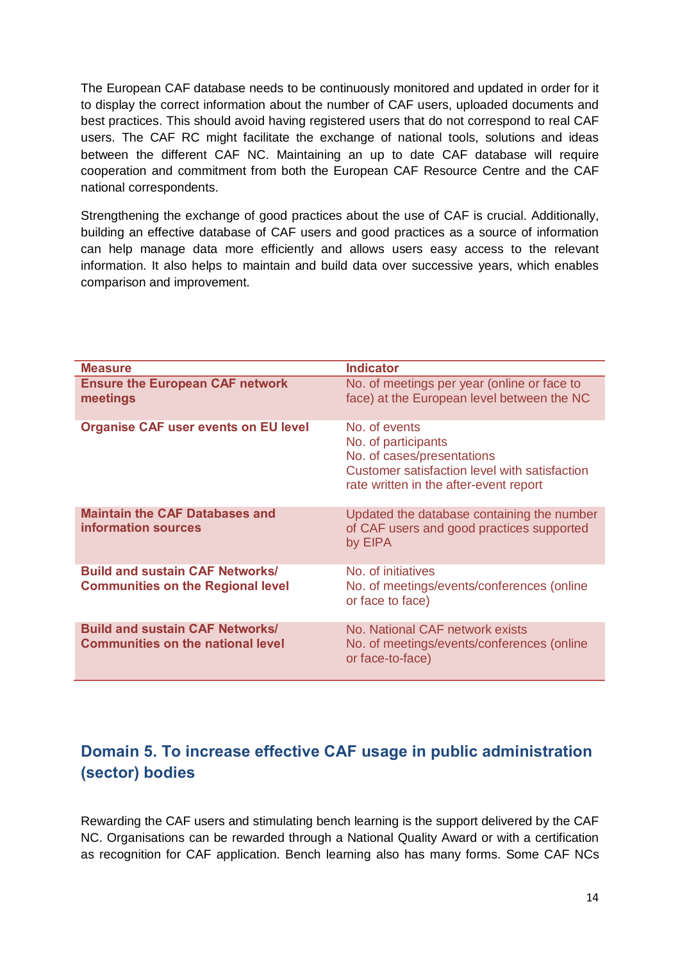The European CAF database needs to be continuously monitored and updated in order for it to display the correct information about the number of CAF users, uploaded documents and best practices. This should avoid having registered users that do not correspond to real CAF users. The CAF RC might facilitate the exchange of national tools, solutions and ideas between the different CAF NC. Maintaining an up to date CAF database will require cooperation and commitment from both the European CAF Resource Centre and the CAF national correspondents.

Strengthening the exchange of good practices about the use of CAF is crucial. Additionally, building an effective database of CAF users and good practices as a source of information can help manage data more efficiently and allows users easy access to the relevant information. It also helps to maintain and build data over successive years, which enables comparison and improvement.

| <b>Measure</b>                                                                     | <b>Indicator</b>                                                                                                                                              |
|------------------------------------------------------------------------------------|---------------------------------------------------------------------------------------------------------------------------------------------------------------|
| <b>Ensure the European CAF network</b><br>meetings                                 | No. of meetings per year (online or face to<br>face) at the European level between the NC                                                                     |
| <b>Organise CAF user events on EU level</b>                                        | No. of events<br>No. of participants<br>No. of cases/presentations<br>Customer satisfaction level with satisfaction<br>rate written in the after-event report |
| <b>Maintain the CAF Databases and</b><br>information sources                       | Updated the database containing the number<br>of CAF users and good practices supported<br>by EIPA                                                            |
| <b>Build and sustain CAF Networks/</b><br><b>Communities on the Regional level</b> | No. of initiatives<br>No. of meetings/events/conferences (online<br>or face to face)                                                                          |
| <b>Build and sustain CAF Networks/</b><br><b>Communities on the national level</b> | No. National CAF network exists<br>No. of meetings/events/conferences (online<br>or face-to-face)                                                             |

#### **Domain 5. To increase effective CAF usage in public administration (sector) bodies**

Rewarding the CAF users and stimulating bench learning is the support delivered by the CAF NC. Organisations can be rewarded through a National Quality Award or with a certification as recognition for CAF application. Bench learning also has many forms. Some CAF NCs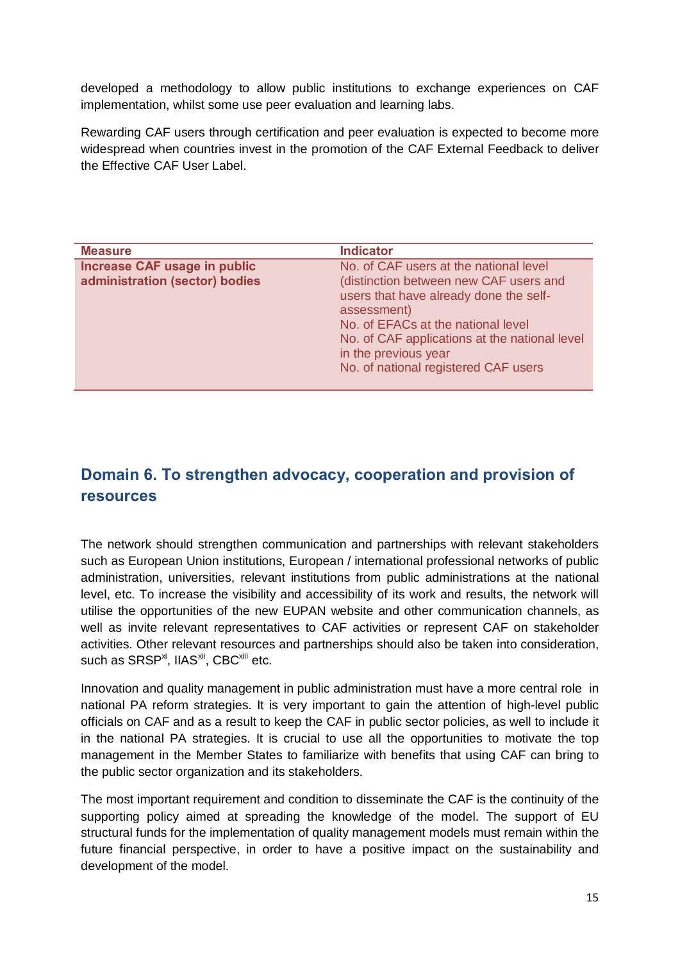developed a methodology to allow public institutions to exchange experiences on CAF implementation, whilst some use peer evaluation and learning labs.

Rewarding CAF users through certification and peer evaluation is expected to become more widespread when countries invest in the promotion of the CAF External Feedback to deliver the Effective CAF User Label.

| <b>Measure</b>                 | <b>Indicator</b>                              |
|--------------------------------|-----------------------------------------------|
| Increase CAF usage in public   | No. of CAF users at the national level        |
| administration (sector) bodies | (distinction between new CAF users and        |
|                                | users that have already done the self-        |
|                                | assessment)                                   |
|                                | No. of EFACs at the national level            |
|                                | No. of CAF applications at the national level |
|                                | in the previous year                          |
|                                | No. of national registered CAF users          |
|                                |                                               |

#### **Domain 6. To strengthen advocacy, cooperation and provision of resources**

The network should strengthen communication and partnerships with relevant stakeholders such as European Union institutions, European / international professional networks of public administration, universities, relevant institutions from public administrations at the national level, etc. To increase the visibility and accessibility of its work and results, the network will utilise the opportunities of the new EUPAN website and other communication channels, as well as invite relevant representatives to CAF activities or represent CAF on stakeholder activities. Other relevant resources and partnerships should also be taken into consideration, such as SRSP<sup>xi</sup>, IIAS<sup>xii</sup>, CBC<sup>xiii</sup> etc.

Innovation and quality management in public administration must have a more central role in national PA reform strategies. It is very important to gain the attention of high-level public officials on CAF and as a result to keep the CAF in public sector policies, as well to include it in the national PA strategies. It is crucial to use all the opportunities to motivate the top management in the Member States to familiarize with benefits that using CAF can bring to the public sector organization and its stakeholders.

The most important requirement and condition to disseminate the CAF is the continuity of the supporting policy aimed at spreading the knowledge of the model. The support of EU structural funds for the implementation of quality management models must remain within the future financial perspective, in order to have a positive impact on the sustainability and development of the model.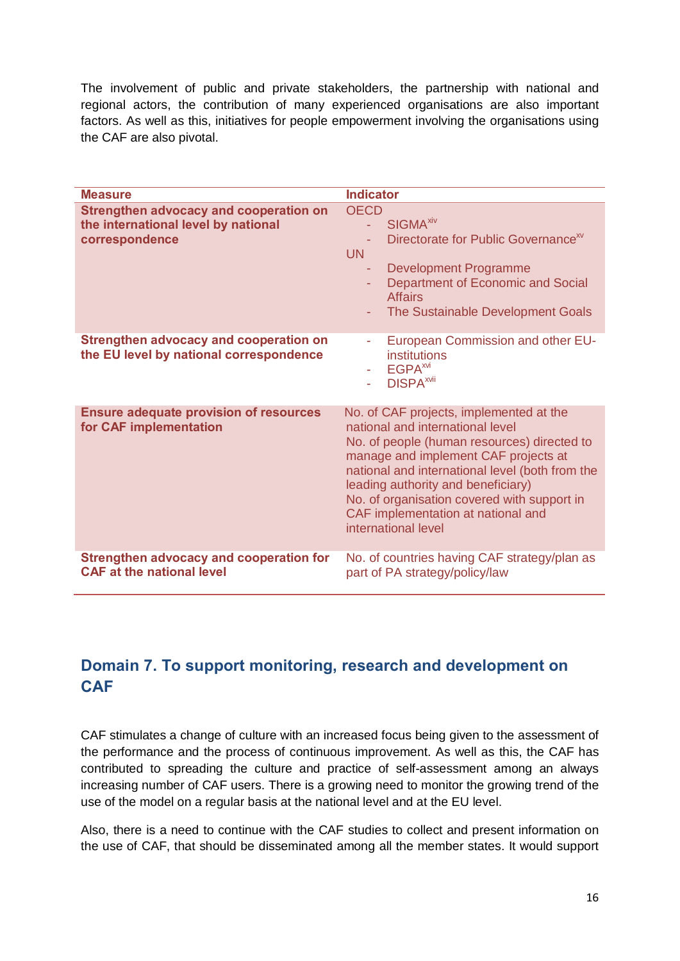The involvement of public and private stakeholders, the partnership with national and regional actors, the contribution of many experienced organisations are also important factors. As well as this, initiatives for people empowerment involving the organisations using the CAF are also pivotal.

| <b>Measure</b>                                                                                         | <b>Indicator</b>                                                                                                                                                                                                                                                                                                                                                        |
|--------------------------------------------------------------------------------------------------------|-------------------------------------------------------------------------------------------------------------------------------------------------------------------------------------------------------------------------------------------------------------------------------------------------------------------------------------------------------------------------|
| <b>Strengthen advocacy and cooperation on</b><br>the international level by national<br>correspondence | <b>OECD</b><br><b>SIGMA<sup>xiv</sup></b><br>u.<br>Directorate for Public Governance <sup>xv</sup><br><b>UN</b><br><b>Development Programme</b><br>Department of Economic and Social<br>÷<br><b>Affairs</b><br>The Sustainable Development Goals                                                                                                                        |
| <b>Strengthen advocacy and cooperation on</b><br>the EU level by national correspondence               | European Commission and other EU-<br>٠<br>institutions<br>EGPA <sup>xvi</sup><br>÷.<br><b>DISPA</b> <sup>xvii</sup>                                                                                                                                                                                                                                                     |
| <b>Ensure adequate provision of resources</b><br>for CAF implementation                                | No. of CAF projects, implemented at the<br>national and international level<br>No. of people (human resources) directed to<br>manage and implement CAF projects at<br>national and international level (both from the<br>leading authority and beneficiary)<br>No. of organisation covered with support in<br>CAF implementation at national and<br>international level |
| <b>Strengthen advocacy and cooperation for</b><br><b>CAF at the national level</b>                     | No. of countries having CAF strategy/plan as<br>part of PA strategy/policy/law                                                                                                                                                                                                                                                                                          |

#### **Domain 7. To support monitoring, research and development on CAF**

CAF stimulates a change of culture with an increased focus being given to the assessment of the performance and the process of continuous improvement. As well as this, the CAF has contributed to spreading the culture and practice of self-assessment among an always increasing number of CAF users. There is a growing need to monitor the growing trend of the use of the model on a regular basis at the national level and at the EU level.

Also, there is a need to continue with the CAF studies to collect and present information on the use of CAF, that should be disseminated among all the member states. It would support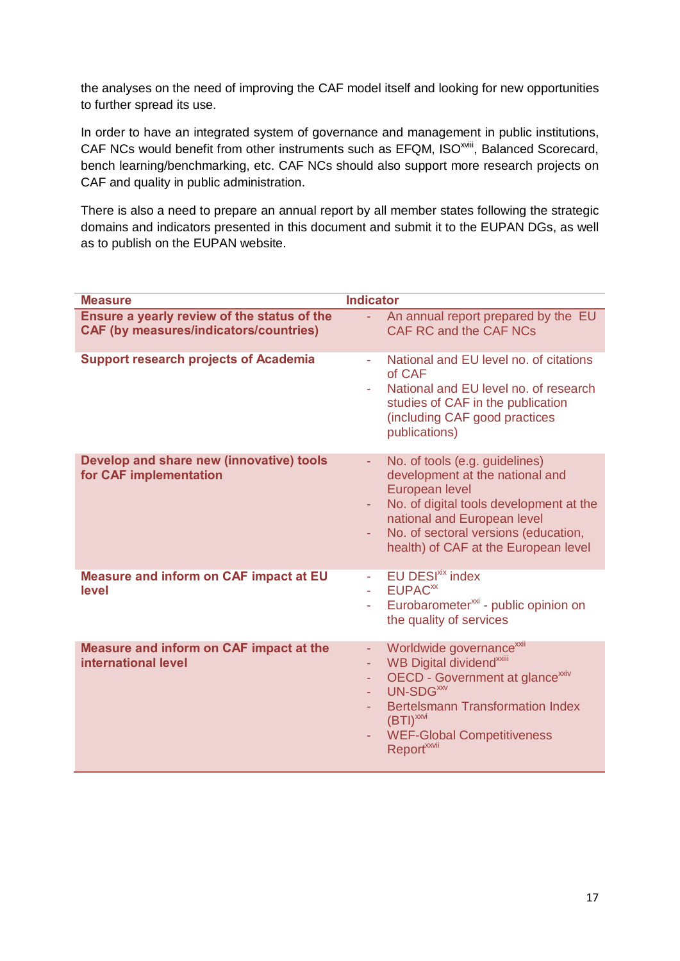the analyses on the need of improving the CAF model itself and looking for new opportunities to further spread its use.

In order to have an integrated system of governance and management in public institutions, CAF NCs would benefit from other instruments such as EFQM, ISO<sup>xviii</sup>, Balanced Scorecard, bench learning/benchmarking, etc. CAF NCs should also support more research projects on CAF and quality in public administration.

There is also a need to prepare an annual report by all member states following the strategic domains and indicators presented in this document and submit it to the EUPAN DGs, as well as to publish on the EUPAN website.

| <b>Measure</b>                                                                               | <b>Indicator</b>                                                                                                                                                                                                                                                                                                                   |
|----------------------------------------------------------------------------------------------|------------------------------------------------------------------------------------------------------------------------------------------------------------------------------------------------------------------------------------------------------------------------------------------------------------------------------------|
| Ensure a yearly review of the status of the<br><b>CAF (by measures/indicators/countries)</b> | An annual report prepared by the EU<br>$\omega_{\rm{eff}}$<br>CAF RC and the CAF NCs                                                                                                                                                                                                                                               |
| <b>Support research projects of Academia</b>                                                 | National and EU level no. of citations<br>÷<br>of CAF<br>National and EU level no. of research<br>studies of CAF in the publication<br>(including CAF good practices<br>publications)                                                                                                                                              |
| Develop and share new (innovative) tools<br>for CAF implementation                           | No. of tools (e.g. guidelines)<br>٠<br>development at the national and<br>European level<br>No. of digital tools development at the<br>٠<br>national and European level<br>No. of sectoral versions (education,<br>health) of CAF at the European level                                                                            |
| <b>Measure and inform on CAF impact at EU</b><br>level                                       | <b>EU DESI<sup>xix</sup></b> index<br>$\sim$<br>EUPAC <sup>xx</sup><br>Eurobarometer <sup>xxi</sup> - public opinion on<br>the quality of services                                                                                                                                                                                 |
| Measure and inform on CAF impact at the<br>international level                               | Worldwide governance <sup>xxii</sup><br>÷<br>WB Digital dividend <sup>xxiii</sup><br>÷,<br>OECD - Government at glance <sup>xxiv</sup><br>$\overline{\phantom{a}}$<br>UN-SDG <sup>XXV</sup><br>÷.<br><b>Bertelsmann Transformation Index</b><br>$(BTI)^{xxx}$<br><b>WEF-Global Competitiveness</b><br>÷<br>Report <sup>xxvii</sup> |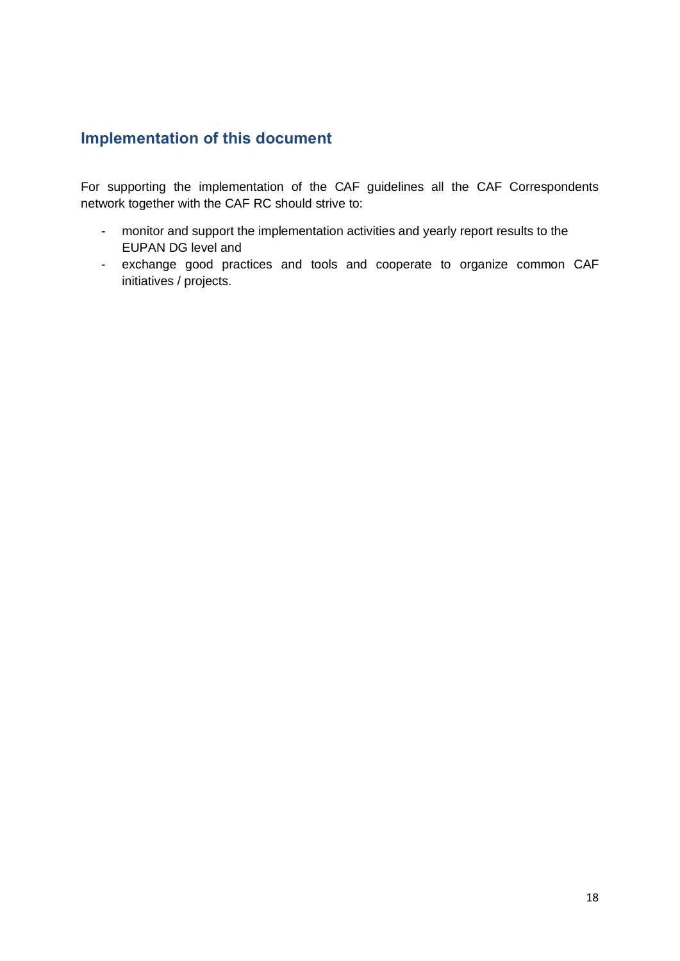## **Implementation of this document**

For supporting the implementation of the CAF guidelines all the CAF Correspondents network together with the CAF RC should strive to:

- monitor and support the implementation activities and yearly report results to the EUPAN DG level and
- exchange good practices and tools and cooperate to organize common CAF initiatives / projects.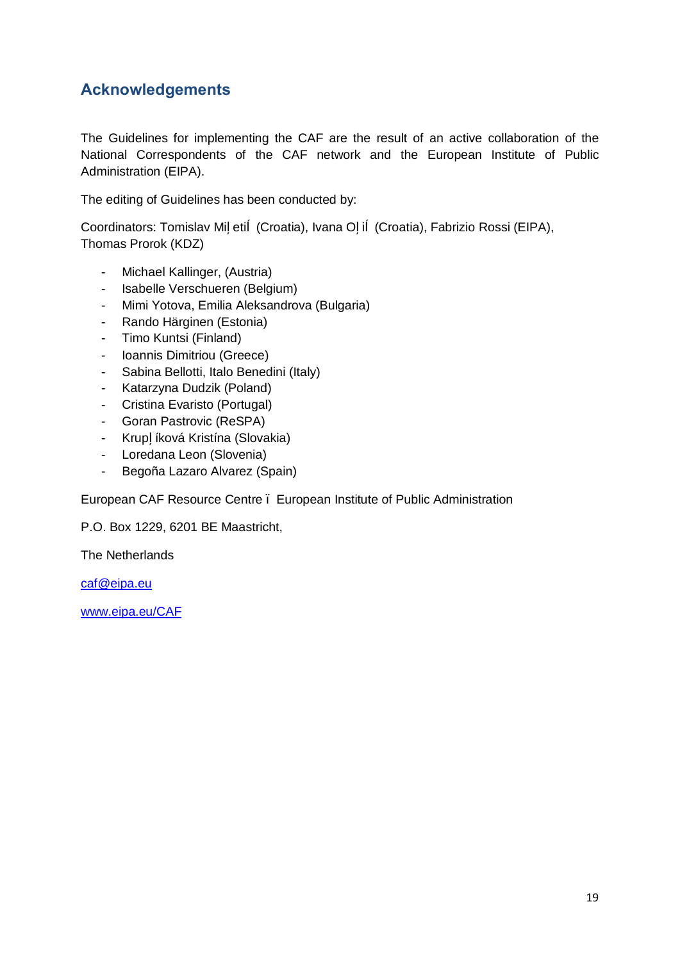#### **Acknowledgements**

The Guidelines for implementing the CAF are the result of an active collaboration of the National Correspondents of the CAF network and the European Institute of Public Administration (EIPA).

The editing of Guidelines has been conducted by:

Coordinators: Tomislav Mi eti (Croatia), Ivana O i (Croatia), Fabrizio Rossi (EIPA), Thomas Prorok (KDZ)

- Michael Kallinger, (Austria)
- Isabelle Verschueren (Belgium)
- Mimi Yotova, Emilia Aleksandrova (Bulgaria)
- Rando Härginen (Estonia)
- Timo Kuntsi (Finland)
- Ioannis Dimitriou (Greece)
- Sabina Bellotti, Italo Benedini (Italy)
- Katarzyna Dudzik (Poland)
- Cristina Evaristo (Portugal)
- Goran Pastrovic (ReSPA)
- Krup íková Kristína (Slovakia)
- Loredana Leon (Slovenia)
- Begoña Lazaro Alvarez (Spain)

European CAF Resource Centre – European Institute of Public Administration

P.O. Box 1229, 6201 BE Maastricht,

The Netherlands

caf@eipa.eu

www.eipa.eu/CAF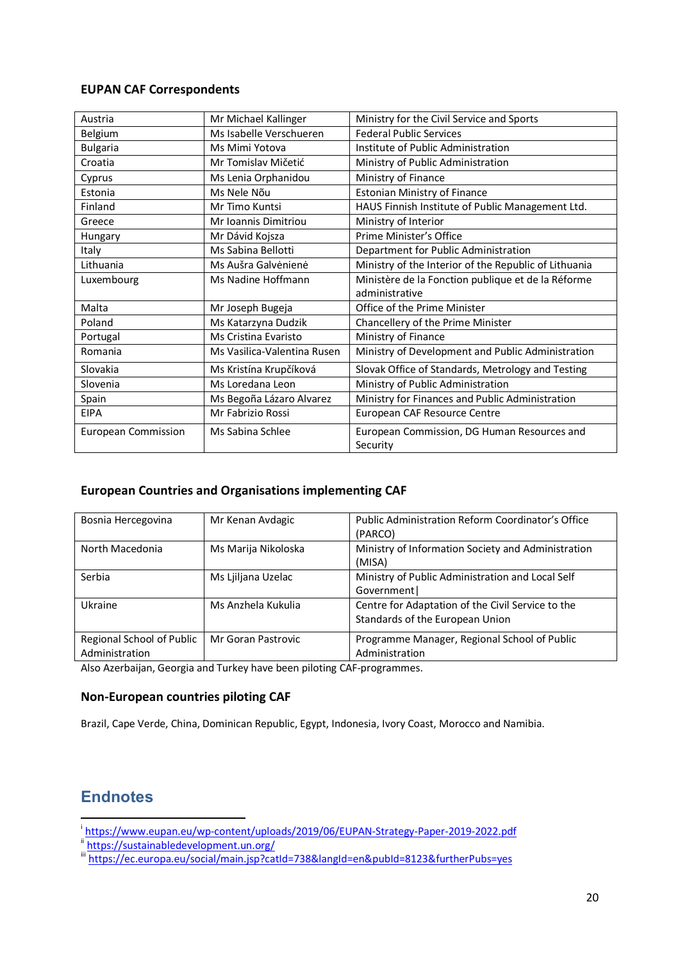#### **EUPAN CAF Correspondents**

| Austria                    | Mr Michael Kallinger        | Ministry for the Civil Service and Sports             |
|----------------------------|-----------------------------|-------------------------------------------------------|
| Belgium                    | Ms Isabelle Verschueren     | <b>Federal Public Services</b>                        |
| <b>Bulgaria</b>            | Ms Mimi Yotova              | Institute of Public Administration                    |
| Croatia                    | Mr Tomislav Mičetić         | Ministry of Public Administration                     |
| Cyprus                     | Ms Lenia Orphanidou         | Ministry of Finance                                   |
| Estonia                    | Ms Nele Nõu                 | <b>Estonian Ministry of Finance</b>                   |
| Finland                    | Mr Timo Kuntsi              | HAUS Finnish Institute of Public Management Ltd.      |
| Greece                     | Mr Ioannis Dimitriou        | Ministry of Interior                                  |
| Hungary                    | Mr Dávid Kojsza             | Prime Minister's Office                               |
| Italy                      | Ms Sabina Bellotti          | Department for Public Administration                  |
| Lithuania                  | Ms Aušra Galvėnienė         | Ministry of the Interior of the Republic of Lithuania |
| Luxembourg                 | Ms Nadine Hoffmann          | Ministère de la Fonction publique et de la Réforme    |
|                            |                             | administrative                                        |
| Malta                      | Mr Joseph Bugeja            | Office of the Prime Minister                          |
| Poland                     | Ms Katarzyna Dudzik         | Chancellery of the Prime Minister                     |
| Portugal                   | Ms Cristina Evaristo        | Ministry of Finance                                   |
| Romania                    | Ms Vasilica-Valentina Rusen | Ministry of Development and Public Administration     |
| Slovakia                   | Ms Kristína Krupčíková      | Slovak Office of Standards, Metrology and Testing     |
| Slovenia                   | Ms Loredana Leon            | Ministry of Public Administration                     |
| Spain                      | Ms Begoña Lázaro Alvarez    | Ministry for Finances and Public Administration       |
| <b>EIPA</b>                | Mr Fabrizio Rossi           | European CAF Resource Centre                          |
| <b>European Commission</b> | Ms Sabina Schlee            | European Commission, DG Human Resources and           |
|                            |                             | Security                                              |

#### **European Countries and Organisations implementing CAF**

| Bosnia Hercegovina                          | Mr Kenan Avdagic    | <b>Public Administration Reform Coordinator's Office</b><br>(PARCO)                  |
|---------------------------------------------|---------------------|--------------------------------------------------------------------------------------|
| North Macedonia                             | Ms Marija Nikoloska | Ministry of Information Society and Administration<br>(MISA)                         |
| Serbia                                      | Ms Ljiljana Uzelac  | Ministry of Public Administration and Local Self<br>Government                       |
| Ukraine                                     | Ms Anzhela Kukulia  | Centre for Adaptation of the Civil Service to the<br>Standards of the European Union |
| Regional School of Public<br>Administration | Mr Goran Pastrovic  | Programme Manager, Regional School of Public<br>Administration                       |

Also Azerbaijan, Georgia and Turkey have been piloting CAF-programmes.

#### **Non-European countries piloting CAF**

Brazil, Cape Verde, China, Dominican Republic, Egypt, Indonesia, Ivory Coast, Morocco and Namibia.

#### **Endnotes**

i https://www.eupan.eu/wp-content/uploads/2019/06/EUPAN-Strategy-Paper-2019-2022.pdf<br>
iii https://sustainabledevelopment.un.org/<br>
iiii https://ec.europa.eu/social/main.jsp?catId=738&langId=en&pubId=8123&furtherPubs=yes